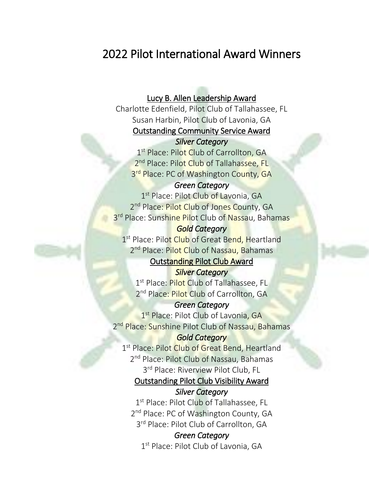# 2022 Pilot International Award Winners

## Lucy B. Allen Leadership Award

Charlotte Edenfield, Pilot Club of Tallahassee, FL Susan Harbin, Pilot Club of Lavonia, GA Outstanding Community Service Award

#### *Silver Category*

1<sup>st</sup> Place: Pilot Club of Carrollton, GA 2<sup>nd</sup> Place: Pilot Club of Tallahassee, FL 3<sup>rd</sup> Place: PC of Washington County, GA

#### *Green Category*

1st Place: Pilot Club of Lavonia, GA 2<sup>nd</sup> Place: Pilot Club of Jones County, GA 3<sup>rd</sup> Place: Sunshine Pilot Club of Nassau, Bahamas

#### *Gold Category*

1<sup>st</sup> Place: Pilot Club of Great Bend, Heartland 2<sup>nd</sup> Place: Pilot Club of Nassau, Bahamas

# Outstanding Pilot Club Award

*Silver Category*  1<sup>st</sup> Place: Pilot Club of Tallahassee, FL 2<sup>nd</sup> Place: Pilot Club of Carrollton, GA

## *Green Category*

1st Place: Pilot Club of Lavonia, GA 2<sup>nd</sup> Place: Sunshine Pilot Club of Nassau, Bahamas

## *Gold Category*

1st Place: Pilot Club of Great Bend, Heartland 2<sup>nd</sup> Place: Pilot Club of Nassau, Bahamas 3<sup>rd</sup> Place: Riverview Pilot Club, FL

#### Outstanding Pilot Club Visibility Award *Silver Category*

1<sup>st</sup> Place: Pilot Club of Tallahassee, FL 2<sup>nd</sup> Place: PC of Washington County, GA 3<sup>rd</sup> Place: Pilot Club of Carrollton, GA

#### *Green Category*

1<sup>st</sup> Place: Pilot Club of Lavonia, GA